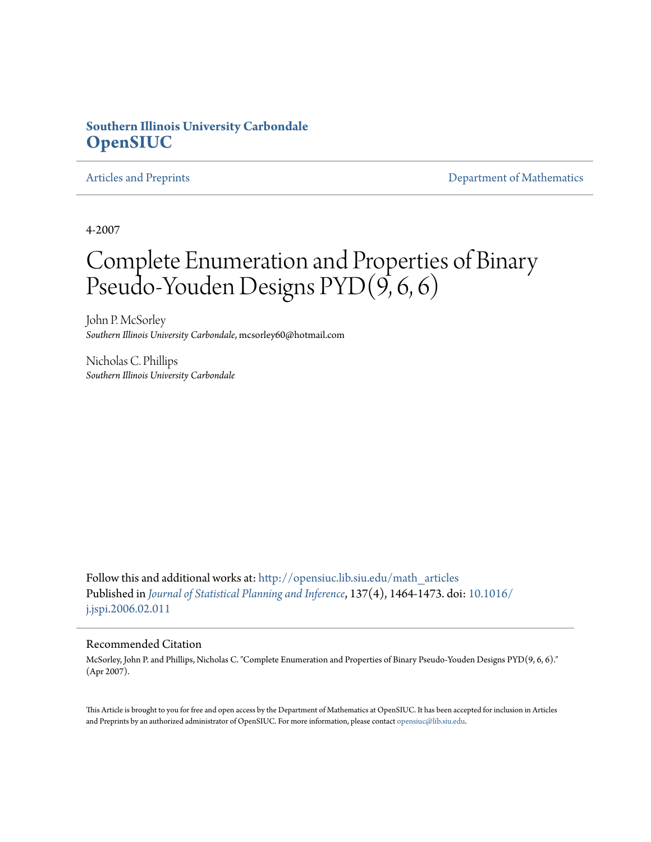# **Southern Illinois University Carbondale [OpenSIUC](http://opensiuc.lib.siu.edu?utm_source=opensiuc.lib.siu.edu%2Fmath_articles%2F35&utm_medium=PDF&utm_campaign=PDFCoverPages)**

[Articles and Preprints](http://opensiuc.lib.siu.edu/math_articles?utm_source=opensiuc.lib.siu.edu%2Fmath_articles%2F35&utm_medium=PDF&utm_campaign=PDFCoverPages) **[Department of Mathematics](http://opensiuc.lib.siu.edu/math?utm_source=opensiuc.lib.siu.edu%2Fmath_articles%2F35&utm_medium=PDF&utm_campaign=PDFCoverPages)** Department of Mathematics

4-2007

# Complete Enumeration and Properties of Binary Pseudo-Youden Designs PYD $(9, 6, 6)$

John P. McSorley *Southern Illinois University Carbondale*, mcsorley60@hotmail.com

Nicholas C. Phillips *Southern Illinois University Carbondale*

Follow this and additional works at: [http://opensiuc.lib.siu.edu/math\\_articles](http://opensiuc.lib.siu.edu/math_articles?utm_source=opensiuc.lib.siu.edu%2Fmath_articles%2F35&utm_medium=PDF&utm_campaign=PDFCoverPages) Published in *[Journal of Statistical Planning and Inference](http://www.elsevier.com/wps/find/journaldescription.cws_home/505561/description#description)*, 137(4), 1464-1473. doi: [10.1016/](http://dx.doi.org/10.1016/j.jspi.2006.02.011) [j.jspi.2006.02.011](http://dx.doi.org/10.1016/j.jspi.2006.02.011)

#### Recommended Citation

McSorley, John P. and Phillips, Nicholas C. "Complete Enumeration and Properties of Binary Pseudo-Youden Designs PYD(9, 6, 6)." (Apr 2007).

This Article is brought to you for free and open access by the Department of Mathematics at OpenSIUC. It has been accepted for inclusion in Articles and Preprints by an authorized administrator of OpenSIUC. For more information, please contact [opensiuc@lib.siu.edu](mailto:opensiuc@lib.siu.edu).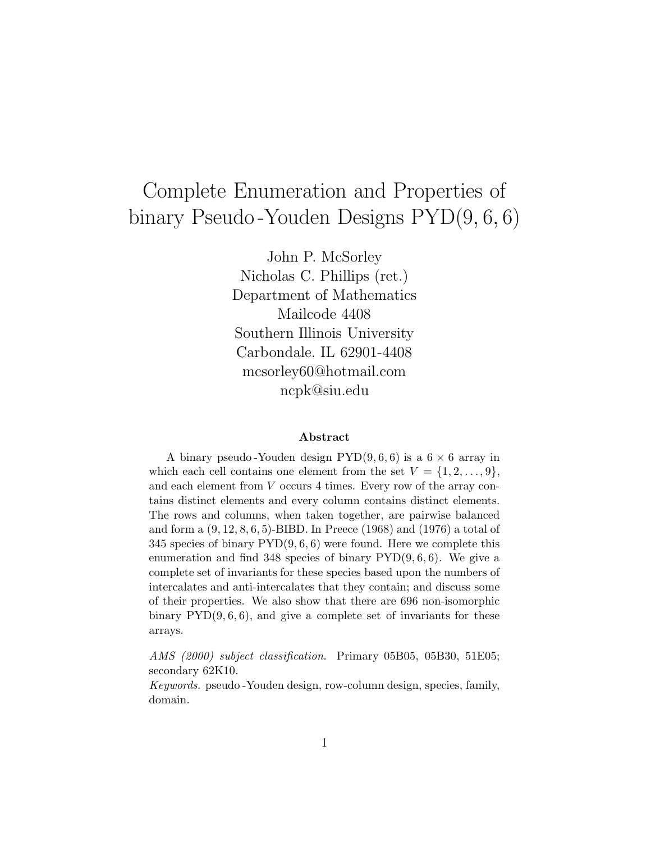# Complete Enumeration and Properties of binary Pseudo -Youden Designs PYD(9*,* 6*,* 6)

John P. McSorley Nicholas C. Phillips (ret.) Department of Mathematics Mailcode 4408 Southern Illinois University Carbondale. IL 62901-4408 mcsorley60@hotmail.com ncpk@siu.edu

#### **Abstract**

A binary pseudo -Youden design PYD(9, 6, 6) is a 6 *×* 6 array in which each cell contains one element from the set  $V = \{1, 2, \ldots, 9\}$ , and each element from V occurs 4 times. Every row of the array contains distinct elements and every column contains distinct elements. The rows and columns, when taken together, are pairwise balanced and form a (9, 12, 8, 6, 5)-BIBD. In Preece (1968) and (1976) a total of 345 species of binary  $\text{PYD}(9, 6, 6)$  were found. Here we complete this enumeration and find 348 species of binary  $\text{PYD}(9, 6, 6)$ . We give a complete set of invariants for these species based upon the numbers of intercalates and anti-intercalates that they contain; and discuss some of their properties. We also show that there are 696 non-isomorphic binary  $\text{PYD}(9, 6, 6)$ , and give a complete set of invariants for these arrays.

*AMS (2000) subject classification*. Primary 05B05, 05B30, 51E05; secondary 62K10.

*Keywords*. pseudo -Youden design, row-column design, species, family, domain.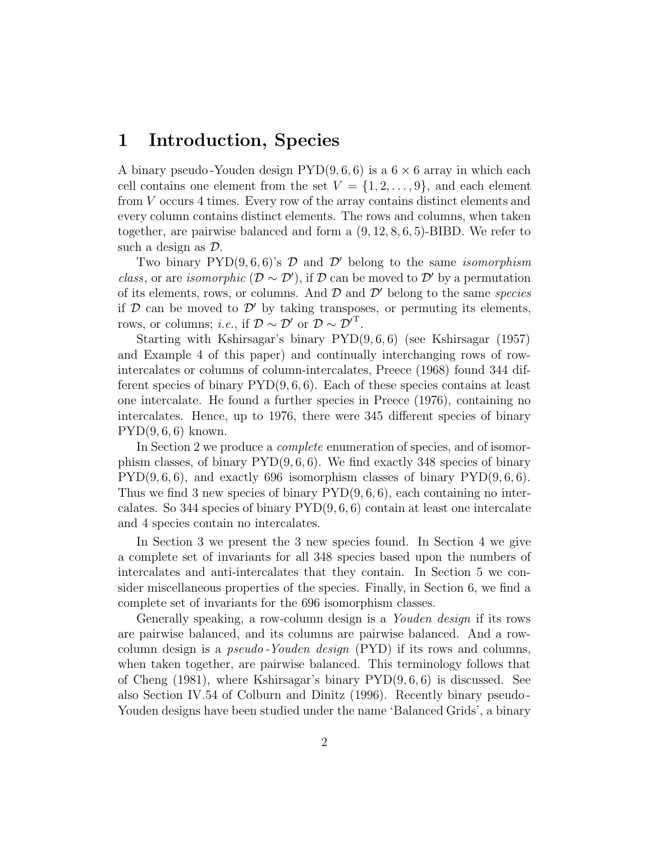# **1 Introduction, Species**

A binary pseudo-Youden design  $\text{PYD}(9, 6, 6)$  is a  $6 \times 6$  array in which each cell contains one element from the set  $V = \{1, 2, \ldots, 9\}$ , and each element from *V* occurs 4 times. Every row of the array contains distinct elements and every column contains distinct elements. The rows and columns, when taken together, are pairwise balanced and form a (9*,* 12*,* 8*,* 6*,* 5)-BIBD. We refer to such a design as *D*.

Two binary  $PYD(9, 6, 6)$ 's  $D$  and  $D'$  belong to the same *isomorphism class*, or are *isomorphic* ( $D \sim D'$ ), if  $D$  can be moved to  $D'$  by a permutation of its elements, rows, or columns. And  $\mathcal D$  and  $\mathcal D'$  belong to the same *species* if  $D$  can be moved to  $D'$  by taking transposes, or permuting its elements, rows, or columns; *i.e.*, if  $\mathcal{D} \sim \mathcal{D}'$  or  $\mathcal{D} \sim \mathcal{D}'^T$ .

Starting with Kshirsagar's binary PYD(9*,* 6*,* 6) (see Kshirsagar (1957) and Example 4 of this paper) and continually interchanging rows of rowintercalates or columns of column-intercalates, Preece (1968) found 344 different species of binary  $PYD(9, 6, 6)$ . Each of these species contains at least one intercalate. He found a further species in Preece (1976), containing no intercalates. Hence, up to 1976, there were 345 different species of binary PYD(9*,* 6*,* 6) known.

In Section 2 we produce a *complete* enumeration of species, and of isomorphism classes, of binary PYD(9*,* 6*,* 6). We find exactly 348 species of binary PYD(9*,* 6*,* 6), and exactly 696 isomorphism classes of binary PYD(9*,* 6*,* 6). Thus we find 3 new species of binary PYD(9*,* 6*,* 6), each containing no intercalates. So 344 species of binary PYD(9*,* 6*,* 6) contain at least one intercalate and 4 species contain no intercalates.

In Section 3 we present the 3 new species found. In Section 4 we give a complete set of invariants for all 348 species based upon the numbers of intercalates and anti-intercalates that they contain. In Section 5 we consider miscellaneous properties of the species. Finally, in Section 6, we find a complete set of invariants for the 696 isomorphism classes.

Generally speaking, a row-column design is a *Youden design* if its rows are pairwise balanced, and its columns are pairwise balanced. And a rowcolumn design is a *pseudo -Youden design* (PYD) if its rows and columns, when taken together, are pairwise balanced. This terminology follows that of Cheng (1981), where Kshirsagar's binary PYD(9*,* 6*,* 6) is discussed. See also Section IV.54 of Colburn and Dinitz (1996). Recently binary pseudo - Youden designs have been studied under the name 'Balanced Grids', a binary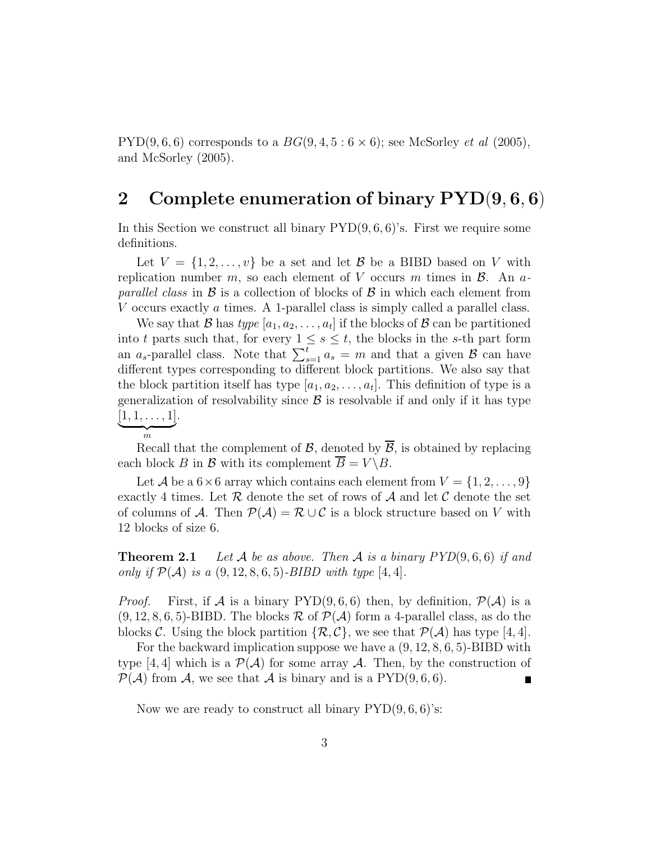PYD(9, 6, 6) corresponds to a  $BG(9, 4, 5:6 \times 6)$ ; see McSorley *et al* (2005), and McSorley (2005).

# **2 Complete enumeration of binary PYD**(**9***,* **6***,* **6**)

In this Section we construct all binary  $\text{PYD}(9, 6, 6)$ 's. First we require some definitions.

Let  $V = \{1, 2, \ldots, v\}$  be a set and let *B* be a BIBD based on *V* with replication number  $m$ , so each element of  $V$  occurs  $m$  times in  $\beta$ . An  $a$ *parallel class* in *B* is a collection of blocks of *B* in which each element from *V* occurs exactly *a* times. A 1-parallel class is simply called a parallel class.

We say that *B* has *type*  $[a_1, a_2, \ldots, a_t]$  if the blocks of *B* can be partitioned into *t* parts such that, for every  $1 \leq s \leq t$ , the blocks in the *s*-th part form an  $a_s$ -parallel class. Note that  $\sum_{s=1}^{\overline{t}} a_s = m$  and that a given  $\beta$  can have different types corresponding to different block partitions. We also say that the block partition itself has type  $[a_1, a_2, \ldots, a_t]$ . This definition of type is a generalization of resolvability since  $\beta$  is resolvable if and only if it has type  $\underbrace{[1,1,\ldots,1]}_{m}$ .



Recall that the complement of  $\mathcal{B}$ , denoted by  $\overline{\mathcal{B}}$ , is obtained by replacing each block *B* in *B* with its complement  $\overline{B} = V \setminus B$ .

Let *A* be a  $6 \times 6$  array which contains each element from  $V = \{1, 2, \ldots, 9\}$ exactly 4 times. Let  $R$  denote the set of rows of  $A$  and let  $C$  denote the set of columns of *A*. Then  $\mathcal{P}(\mathcal{A}) = \mathcal{R} \cup \mathcal{C}$  is a block structure based on *V* with 12 blocks of size 6.

**Theorem 2.1** *Let A be as above. Then A is a binary PYD*(9*,* 6*,* 6) *if and only if*  $P(A)$  *is a*  $(9, 12, 8, 6, 5)$ *-BIBD with type*  $[4, 4]$ *.* 

*Proof.* First, if *A* is a binary  $PYD(9, 6, 6)$  then, by definition,  $P(A)$  is a  $(9, 12, 8, 6, 5)$ -BIBD. The blocks  $\mathcal{R}$  of  $\mathcal{P}(\mathcal{A})$  form a 4-parallel class, as do the blocks *C*. Using the block partition  $\{\mathcal{R}, \mathcal{C}\}\$ , we see that  $\mathcal{P}(\mathcal{A})$  has type [4, 4].

For the backward implication suppose we have a (9*,* 12*,* 8*,* 6*,* 5)-BIBD with type [4, 4] which is a  $\mathcal{P}(\mathcal{A})$  for some array  $\mathcal{A}$ . Then, by the construction of  $\mathcal{P}(\mathcal{A})$  from  $\mathcal{A}$ , we see that  $\mathcal{A}$  is binary and is a PYD(9,6,6).

Now we are ready to construct all binary PYD(9*,* 6*,* 6)'s: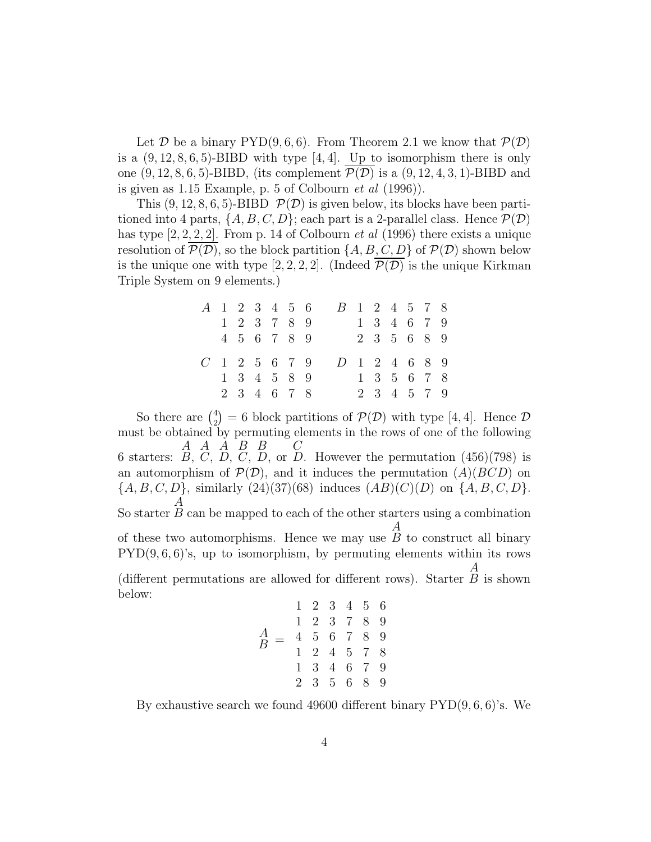Let *D* be a binary  $PYD(9, 6, 6)$ . From Theorem 2.1 we know that  $P(D)$ is a  $(9, 12, 8, 6, 5)$ -BIBD with type  $[4, 4]$ . Up to isomorphism there is only one  $(9, 12, 8, 6, 5)$ -BIBD, (its complement  $\mathcal{P}(\mathcal{D})$  is a  $(9, 12, 4, 3, 1)$ -BIBD and is given as 1.15 Example, p. 5 of Colbourn *et al* (1996)).

This  $(9, 12, 8, 6, 5)$ -BIBD  $\mathcal{P}(\mathcal{D})$  is given below, its blocks have been partitioned into 4 parts,  $\{A, B, C, D\}$ ; each part is a 2-parallel class. Hence  $\mathcal{P}(\mathcal{D})$ has type [2*,* 2*,* 2*,* 2]. From p. 14 of Colbourn *et al* (1996) there exists a unique resolution of  $\overline{\mathcal{P}(\mathcal{D})}$ , so the block partition  $\{A, B, C, D\}$  of  $\mathcal{P}(\mathcal{D})$  shown below is the unique one with type [2, 2, 2, 2]. (Indeed  $\overline{\mathcal{P}(\mathcal{D})}$  is the unique Kirkman Triple System on 9 elements.)

|                   |  |  | A 1 2 3 4 5 6 |  |               |  |  | B 1 2 4 5 7 8 |  |
|-------------------|--|--|---------------|--|---------------|--|--|---------------|--|
|                   |  |  | 1 2 3 7 8 9   |  |               |  |  | 1 3 4 6 7 9   |  |
|                   |  |  | 4 5 6 7 8 9   |  |               |  |  | 2 3 5 6 8 9   |  |
|                   |  |  |               |  |               |  |  |               |  |
| $C_1$ 1 2 5 6 7 9 |  |  |               |  | D 1 2 4 6 8 9 |  |  |               |  |
|                   |  |  | 1 3 4 5 8 9   |  |               |  |  | 1 3 5 6 7 8   |  |

So there are  $\binom{4}{2}$  $= 6$  block partitions of  $P(D)$  with type [4, 4]. Hence  $D$ must be obtained by permuting elements in the rows of one of the following 6 starters:  $B, C, D, C, D$ , or  $D$ . However the permutation  $(456)(798)$  is *A A A B B C* an automorphism of  $\mathcal{P}(\mathcal{D})$ , and it induces the permutation  $(A)(BCD)$  on *{A, B, C, D}*, similarly (24)(37)(68) induces (*AB*)(*C*)(*D*) on *{A, B, C, D}*. So starter *A B* can be mapped to each of the other starters using a combination of these two automorphisms. Hence we may use *A B* to construct all binary PYD(9*,* 6*,* 6)'s, up to isomorphism, by permuting elements within its rows (different permutations are allowed for different rows). Starter *A B* is shown below: 123456

$$
A = \begin{pmatrix} 1 & 2 & 3 & 4 & 5 & 0 \\ 1 & 2 & 3 & 7 & 8 & 9 \\ 4 & 5 & 6 & 7 & 8 & 9 \\ 1 & 2 & 4 & 5 & 7 & 8 \\ 1 & 3 & 4 & 6 & 7 & 9 \\ 2 & 3 & 5 & 6 & 8 & 9 \end{pmatrix}
$$

By exhaustive search we found 49600 different binary PYD(9*,* 6*,* 6)'s. We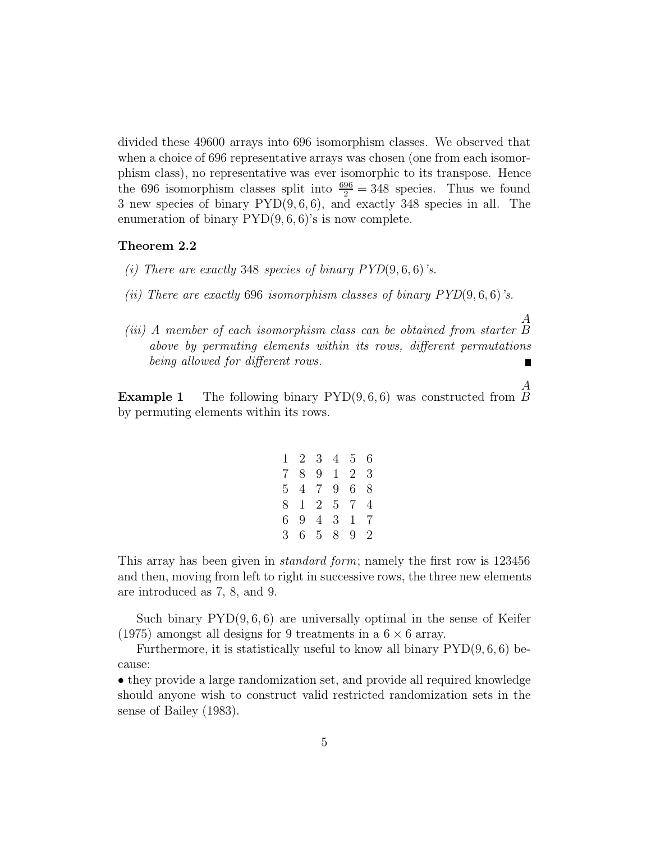divided these 49600 arrays into 696 isomorphism classes. We observed that when a choice of 696 representative arrays was chosen (one from each isomorphism class), no representative was ever isomorphic to its transpose. Hence the 696 isomorphism classes split into  $\frac{696}{2} = 348$  species. Thus we found 3 new species of binary PYD(9*,* 6*,* 6), and exactly 348 species in all. The enumeration of binary  $\text{PYD}(9, 6, 6)$ 's is now complete.

#### **Theorem 2.2**

- *(i) There are exactly* 348 *species of binary PYD*(9*,* 6*,* 6)*'s.*
- *(ii) There are exactly* 696 *isomorphism classes of binary PYD*(9*,* 6*,* 6)*'s.*
- *(iii) A member of each isomorphism class can be obtained from starter B above by permuting elements within its rows, different permutations being allowed for different rows.*  $\blacksquare$

*A*

*A*

**Example 1** The following binary PYD(9*,* 6*,* 6) was constructed from *B* by permuting elements within its rows.

|       | $1\quad 2\quad 3\quad 4\quad 5\quad 6$ |   |    |
|-------|----------------------------------------|---|----|
| $7\,$ | 8 9 1 2 3                              |   |    |
|       | 5 4 7 9 6 8                            |   |    |
|       | 8 1 2 5 7 4                            |   |    |
| 6     | 9 4 3 1 7                              |   |    |
| 3     | 65                                     | 8 | 92 |

This array has been given in *standard form*; namely the first row is 123456 and then, moving from left to right in successive rows, the three new elements are introduced as 7, 8, and 9.

Such binary PYD(9*,* 6*,* 6) are universally optimal in the sense of Keifer (1975) amongst all designs for 9 treatments in a 6 *×* 6 array.

Furthermore, it is statistically useful to know all binary PYD(9*,* 6*,* 6) because:

• they provide a large randomization set, and provide all required knowledge should anyone wish to construct valid restricted randomization sets in the sense of Bailey (1983).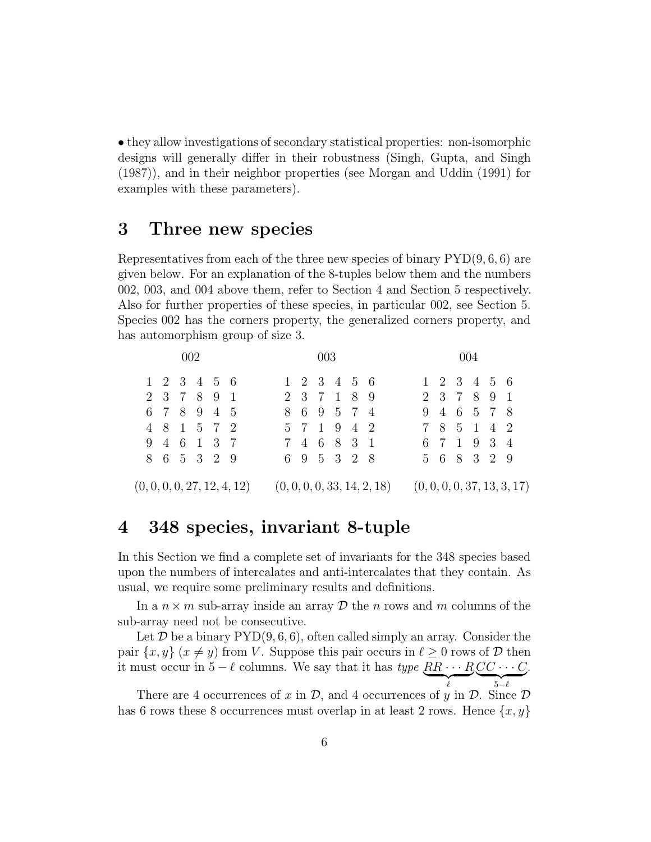*•* they allow investigations of secondary statistical properties: non-isomorphic designs will generally differ in their robustness (Singh, Gupta, and Singh (1987)), and in their neighbor properties (see Morgan and Uddin (1991) for examples with these parameters).

# **3 Three new species**

Representatives from each of the three new species of binary PYD(9*,* 6*,* 6) are given below. For an explanation of the 8-tuples below them and the numbers 002, 003, and 004 above them, refer to Section 4 and Section 5 respectively. Also for further properties of these species, in particular 002, see Section 5. Species 002 has the corners property, the generalized corners property, and has automorphism group of size 3.

|  | 002                                    |                             |             | 003                               |  |                             |             |                                   | 004 |  |                             |  |
|--|----------------------------------------|-----------------------------|-------------|-----------------------------------|--|-----------------------------|-------------|-----------------------------------|-----|--|-----------------------------|--|
|  | $1\quad 2\quad 3\quad 4\quad 5\quad 6$ |                             |             | $1\;\; 2\;\; 3\;\; 4\;\; 5\;\; 6$ |  |                             |             | $1\;\; 2\;\; 3\;\; 4\;\; 5\;\; 6$ |     |  |                             |  |
|  | 2 3 7 8 9 1                            |                             |             | 2 3 7 1 8 9                       |  |                             |             | 2 3 7 8 9 1                       |     |  |                             |  |
|  | 6 7 8 9 4 5                            |                             |             | 8 6 9 5 7 4                       |  |                             |             | 9 4 6 5 7 8                       |     |  |                             |  |
|  | 4 8 1 5 7 2                            |                             |             | 5 7 1 9 4 2                       |  |                             |             | 7 8 5 1 4 2                       |     |  |                             |  |
|  | 9 4 6 1 3 7                            |                             | 7 4 6 8 3 1 |                                   |  |                             | 6 7 1 9 3 4 |                                   |     |  |                             |  |
|  | 8 6 5 3 2 9                            |                             |             | 6 9 5 3 2 8                       |  |                             |             | 5 6 8 3 2 9                       |     |  |                             |  |
|  |                                        | (0, 0, 0, 0, 27, 12, 4, 12) |             |                                   |  | (0, 0, 0, 0, 33, 14, 2, 18) |             |                                   |     |  | (0, 0, 0, 0, 37, 13, 3, 17) |  |

# **4 348 species, invariant 8-tuple**

In this Section we find a complete set of invariants for the 348 species based upon the numbers of intercalates and anti-intercalates that they contain. As usual, we require some preliminary results and definitions.

In a  $n \times m$  sub-array inside an array  $D$  the *n* rows and *m* columns of the sub-array need not be consecutive.

Let  $D$  be a binary  $PYD(9, 6, 6)$ , often called simply an array. Consider the pair  $\{x, y\}$  ( $x \neq y$ ) from *V*. Suppose this pair occurs in  $\ell \geq 0$  rows of *D* then it must occur in 5 −  $\ell$  columns. We say that it has *type*  $\underbrace{RR \cdots R}_{\ell} \underbrace{CC \cdots C}_{5-\ell}$ .

There are 4 occurrences of *x* in  $D$ , and 4 occurrences of *y* in  $D$ . Since  $D$ has 6 rows these 8 occurrences must overlap in at least 2 rows. Hence  $\{x, y\}$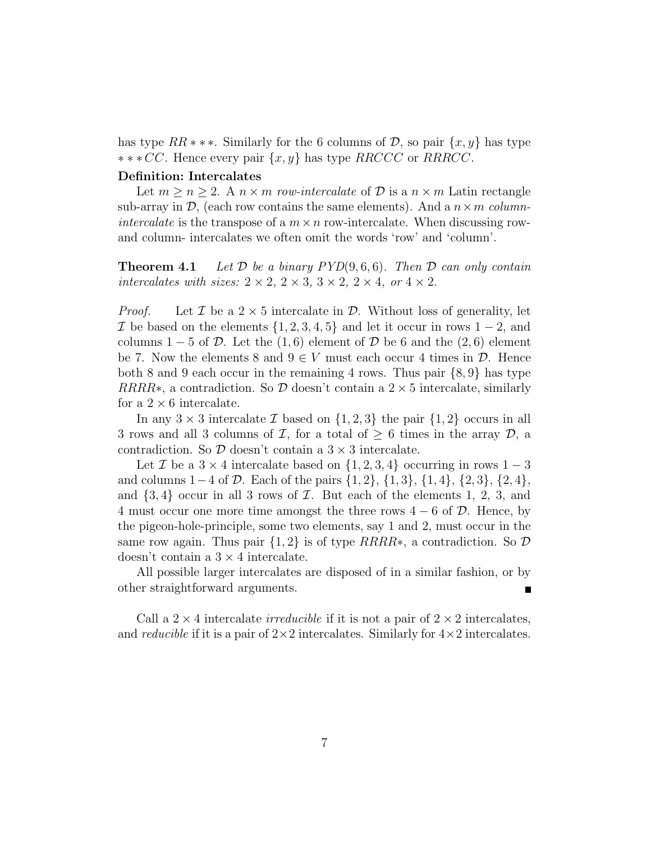has type  $RR$  *\* \* \**. Similarly for the 6 columns of  $D$ , so pair  $\{x, y\}$  has type *∗∗∗ CC*. Hence every pair *{x, y}* has type *RRCCC* or *RRRCC*.

#### **Definition: Intercalates**

Let  $m \geq n \geq 2$ . A  $n \times m$  *row-intercalate* of  $D$  is a  $n \times m$  Latin rectangle sub-array in  $\mathcal{D}$ , (each row contains the same elements). And a  $n \times m$  *columnintercalate* is the transpose of a  $m \times n$  row-intercalate. When discussing rowand column- intercalates we often omit the words 'row' and 'column'.

**Theorem 4.1** *Let D be a binary PYD*(9*,* 6*,* 6)*. Then D can only contain intercalates with sizes:*  $2 \times 2$ ,  $2 \times 3$ ,  $3 \times 2$ ,  $2 \times 4$ , or  $4 \times 2$ .

*Proof.* Let  $\mathcal{I}$  be a  $2 \times 5$  intercalate in  $\mathcal{D}$ . Without loss of generality, let *I* be based on the elements *{*1*,* 2*,* 3*,* 4*,* 5*}* and let it occur in rows 1 *−* 2, and columns  $1 - 5$  of  $D$ . Let the  $(1, 6)$  element of  $D$  be 6 and the  $(2, 6)$  element be 7. Now the elements 8 and  $9 \in V$  must each occur 4 times in  $\mathcal{D}$ . Hence both 8 and 9 each occur in the remaining 4 rows. Thus pair *{*8*,* 9*}* has type *RRRR*<sup>\*</sup>, a contradiction. So  $\mathcal{D}$  doesn't contain a 2  $\times$  5 intercalate, similarly for a  $2 \times 6$  intercalate.

In any  $3 \times 3$  intercalate *I* based on  $\{1, 2, 3\}$  the pair  $\{1, 2\}$  occurs in all 3 rows and all 3 columns of *I*, for a total of  $\geq$  6 times in the array *D*, a contradiction. So  $D$  doesn't contain a  $3 \times 3$  intercalate.

Let *I* be a  $3 \times 4$  intercalate based on  $\{1, 2, 3, 4\}$  occurring in rows  $1 - 3$ and columns 1*−*4 of *D*. Each of the pairs *{*1*,* 2*}*, *{*1*,* 3*}*, *{*1*,* 4*}*, *{*2*,* 3*}*, *{*2*,* 4*}*, and  $\{3,4\}$  occur in all 3 rows of  $I$ . But each of the elements 1, 2, 3, and 4 must occur one more time amongst the three rows 4 *−* 6 of *D*. Hence, by the pigeon-hole-principle, some two elements, say 1 and 2, must occur in the same row again. Thus pair *{*1*,* 2*}* is of type *RRRR∗*, a contradiction. So *D* doesn't contain a 3 *×* 4 intercalate.

All possible larger intercalates are disposed of in a similar fashion, or by other straightforward arguments.

Call a  $2 \times 4$  intercalate *irreducible* if it is not a pair of  $2 \times 2$  intercalates, and *reducible* if it is a pair of 2*×*2 intercalates. Similarly for 4*×*2 intercalates.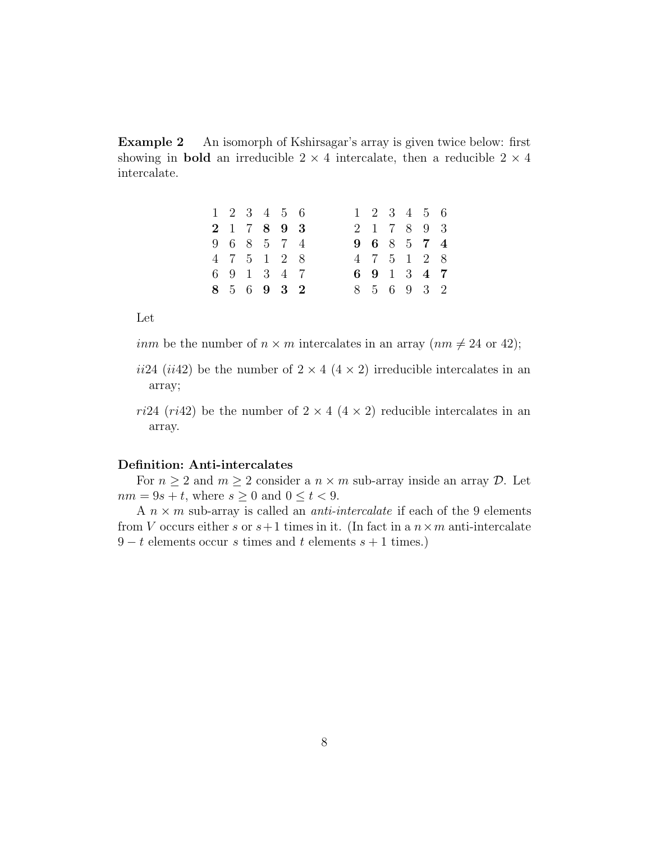**Example 2** An isomorph of Kshirsagar's array is given twice below: first showing in **bold** an irreducible  $2 \times 4$  intercalate, then a reducible  $2 \times 4$ intercalate.

|  |  | $1\quad 2\quad 3\quad 4\quad 5\quad 6$ |  | $1\quad 2\quad 3\quad 4\quad 5\quad 6$ |  |  |
|--|--|----------------------------------------|--|----------------------------------------|--|--|
|  |  | 2 1 7 8 9 3                            |  | 2 1 7 8 9 3                            |  |  |
|  |  | 9 6 8 5 7 4                            |  | 9 6 8 5 7 4                            |  |  |
|  |  | 4 7 5 1 2 8                            |  | 4 7 5 1 2 8                            |  |  |
|  |  | 6 9 1 3 4 7                            |  | 6 9 1 3 4 7                            |  |  |
|  |  | 8 5 6 9 3 2                            |  | 8 5 6 9 3 2                            |  |  |

Let

*inm* be the number of  $n \times m$  intercalates in an array  $(nm \neq 24 \text{ or } 42);$ 

- *ii*24 (*ii*42) be the number of  $2 \times 4$  ( $4 \times 2$ ) irreducible intercalates in an array;
- *ri*24 (*ri*42) be the number of  $2 \times 4$  ( $4 \times 2$ ) reducible intercalates in an array.

#### **Definition: Anti-intercalates**

For  $n \geq 2$  and  $m \geq 2$  consider a  $n \times m$  sub-array inside an array  $\mathcal{D}$ . Let  $nm = 9s + t$ , where  $s \geq 0$  and  $0 \leq t < 9$ .

A *n × m* sub-array is called an *anti-intercalate* if each of the 9 elements from *V* occurs either *s* or  $s+1$  times in it. (In fact in a  $n \times m$  anti-intercalate 9 *− t* elements occur *s* times and *t* elements *s* + 1 times.)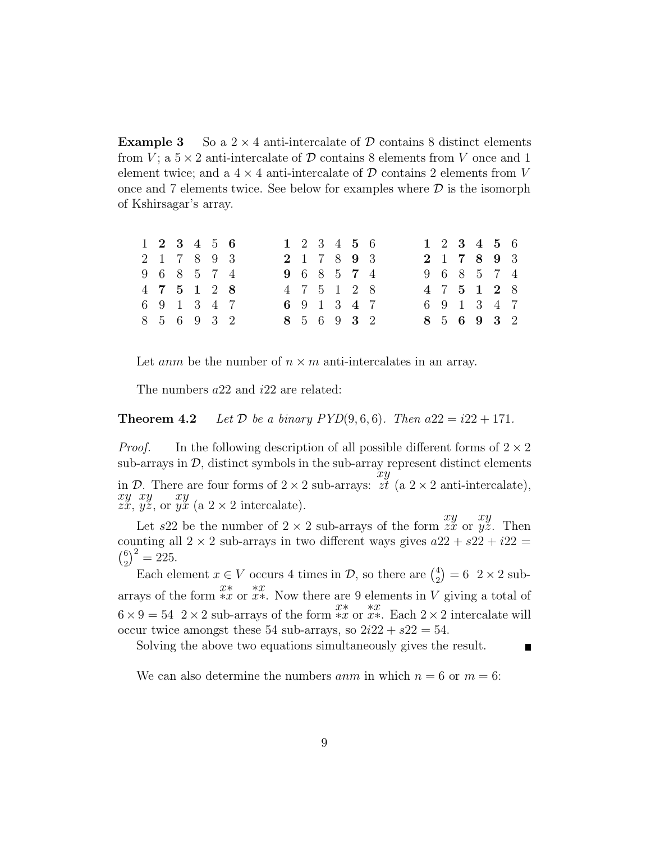**Example 3** So a  $2 \times 4$  anti-intercalate of  $\mathcal{D}$  contains 8 distinct elements from *V*; a  $5 \times 2$  anti-intercalate of  $D$  contains 8 elements from *V* once and 1 element twice; and a  $4 \times 4$  anti-intercalate of  $D$  contains 2 elements from V once and 7 elements twice. See below for examples where *D* is the isomorph of Kshirsagar's array.

|  | $1\;\; 2\;\; 3\;\; 4\;\; 5\;\; 6$ |  |  |  | $1\;\; 2\;\; 3\;\; 4\;\; 5\;\; 6$ |  |  | $1\;\; 2\;\; 3\;\; 4\;\; 5\;\; 6$ |  |
|--|-----------------------------------|--|--|--|-----------------------------------|--|--|-----------------------------------|--|
|  | 2 1 7 8 9 3                       |  |  |  | 2 1 7 8 9 3                       |  |  | 2 1 7 8 9 3                       |  |
|  | 9 6 8 5 7 4                       |  |  |  | 9 6 8 5 7 4                       |  |  | 9 6 8 5 7 4                       |  |
|  | 4 7 5 1 2 8                       |  |  |  | 4 7 5 1 2 8                       |  |  | 4 7 5 1 2 8                       |  |
|  | 6 9 1 3 4 7                       |  |  |  | 6 9 1 3 4 7                       |  |  | 6 9 1 3 4 7                       |  |
|  | 8 5 6 9 3 2                       |  |  |  | 8 5 6 9 3 2                       |  |  | 8 5 6 9 3 2                       |  |

Let *anm* be the number of  $n \times m$  anti-intercalates in an array.

The numbers *a*22 and *i*22 are related:

**Theorem 4.2** *Let*  $D$  *be a binary PYD* $(9, 6, 6)$ *. Then*  $a22 = i22 + 171$ *.* 

*Proof.* In the following description of all possible different forms of 2 *×* 2 sub-arrays in  $D$ , distinct symbols in the sub-array represent distinct elements in  $D$ . There are four forms of  $2 \times 2$  sub-arrays: *xy*  $z_t$ <sup>*i*</sup> (a 2 × 2 anti-intercalate), *xy zx*, *xy yz*, or *xy*  $\tilde{y}$  (a 2 × 2 intercalate).

Let  $s22$  be the number of  $2 \times 2$  sub-arrays of the form  $\frac{xy}{zx}$  or *xy yz*. Then counting all  $2 \times 2$  sub-arrays in two different ways gives  $a22 + s22 + i22 =$  $\sqrt{6}$  $\binom{6}{2}^2 = 225.$ 

Each element  $x \in V$  occurs 4 times in  $\mathcal{D}$ , so there are  $\binom{4}{2} = 6$  2 × 2 subarrays of the form  $\frac{x}{2}$  *∗x* or  $\frac{xx}{2}$  arrays of the form  $\frac{xx}{2}$  or  $\frac{xx}{2}$ . Now there are 9 elements in *V* giving a total of  $6 \times 9 = 54$  2 × 2 sub-arrays of the form *\*x* or *x*<sup>\*</sup>. Each 2 × 2 intercalate will occur twice amongst these 54 sub-arrays, so  $2i22 + s22 = 54$ .

Solving the above two equations simultaneously gives the result.

We can also determine the numbers *anm* in which  $n = 6$  or  $m = 6$ :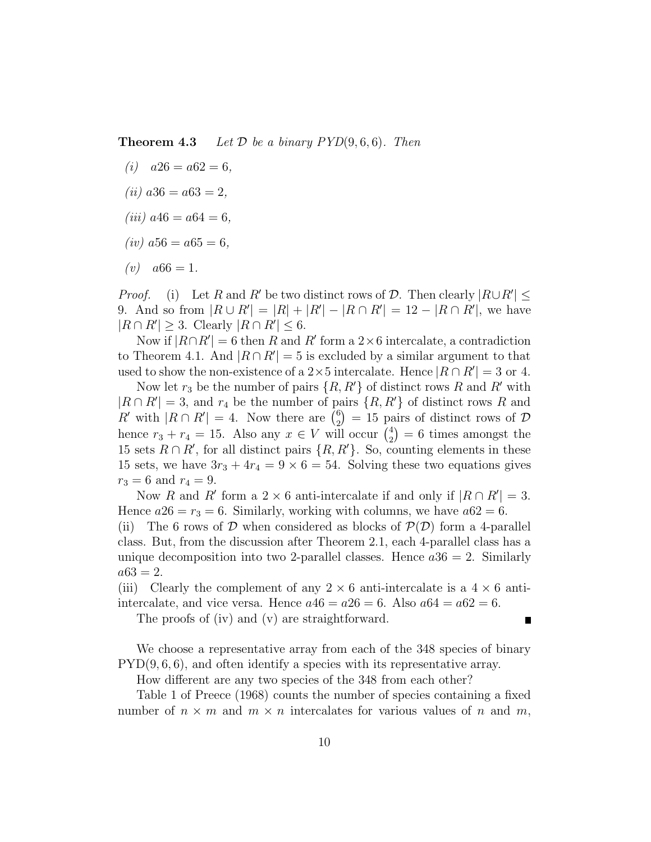**Theorem 4.3** *Let*  $D$  *be a binary PYD* $(9, 6, 6)$ *. Then* 

- $(i)$   $a26 = a62 = 6$ ,
- $(iii)$   $a36 = a63 = 2$ ,
- $(iii)$   $a46 = a64 = 6$ .
- $(iv)$   $a56 = a65 = 6$ ,
- $(v)$   $a66 = 1$ .

*Proof.* (i) Let *R* and *R*<sup>*'*</sup> be two distinct rows of *D*. Then clearly  $|R \cup R'| \le$ 9. And so from  $|R \cup R'| = |R| + |R'| - |R \cap R'| = 12 - |R \cap R'|$ , we have  $|R \cap R'| \geq 3$ . Clearly  $|R \cap R'| \leq 6$ .

Now if  $|R \cap R'| = 6$  then *R* and *R'* form a 2×6 intercalate, a contradiction to Theorem 4.1. And  $|R \cap R'| = 5$  is excluded by a similar argument to that used to show the non-existence of a 2×5 intercalate. Hence  $|R \cap R'| = 3$  or 4.

Now let  $r_3$  be the number of pairs  $\{R, R'\}$  of distinct rows  $R$  and  $R'$  with  $|R \cap R'| = 3$ , and  $r_4$  be the number of pairs  $\{R, R'\}$  of distinct rows *R* and *R*<sup> $\prime$ </sup> with  $|R \cap R'| = 4$ . Now there are  $\binom{6}{2} = 15$  pairs of distinct rows of *D* hence  $r_3 + r_4 = 15$ . Also any  $x \in V$  will occur  $\begin{pmatrix} 4 \\ 2 \end{pmatrix}$  $= 6$  times amongst the 15 sets  $R \cap R'$ , for all distinct pairs  $\{R, R'\}$ . So, counting elements in these 15 sets, we have  $3r_3 + 4r_4 = 9 \times 6 = 54$ . Solving these two equations gives  $r_3 = 6$  and  $r_4 = 9$ .

Now *R* and *R'* form a 2  $\times$  6 anti-intercalate if and only if  $|R \cap R'| = 3$ . Hence  $a26 = r_3 = 6$ . Similarly, working with columns, we have  $a62 = 6$ .

(ii) The 6 rows of  $D$  when considered as blocks of  $P(D)$  form a 4-parallel class. But, from the discussion after Theorem 2.1, each 4-parallel class has a unique decomposition into two 2-parallel classes. Hence  $a36 = 2$ . Similarly  $a63 = 2.$ 

(iii) Clearly the complement of any  $2 \times 6$  anti-intercalate is a  $4 \times 6$  antiintercalate, and vice versa. Hence  $a46 = a26 = 6$ . Also  $a64 = a62 = 6$ .

The proofs of (iv) and (v) are straightforward.

We choose a representative array from each of the 348 species of binary PYD(9*,* 6*,* 6), and often identify a species with its representative array.

How different are any two species of the 348 from each other?

Table 1 of Preece (1968) counts the number of species containing a fixed number of  $n \times m$  and  $m \times n$  intercalates for various values of n and m,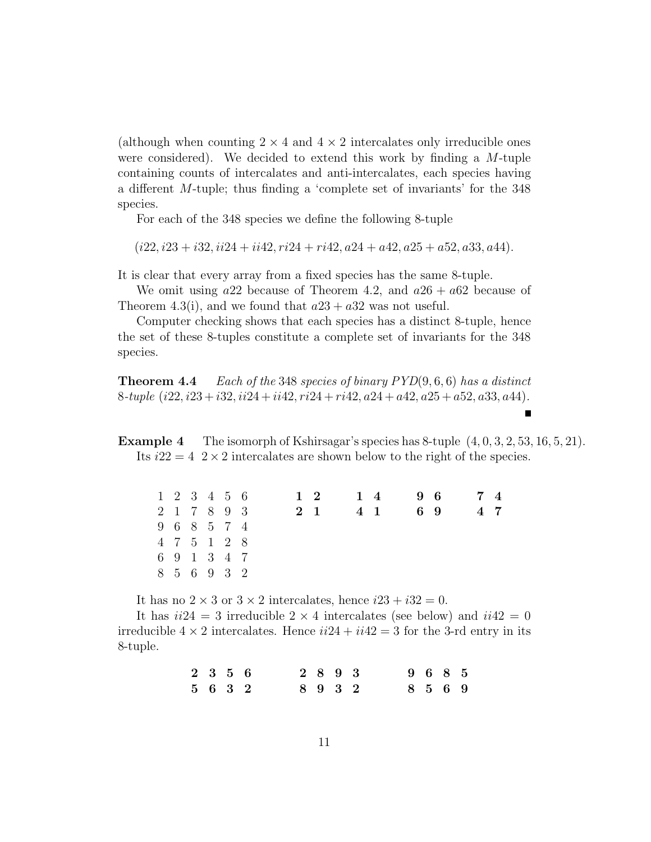(although when counting  $2 \times 4$  and  $4 \times 2$  intercalates only irreducible ones were considered). We decided to extend this work by finding a *M*-tuple containing counts of intercalates and anti-intercalates, each species having a different *M*-tuple; thus finding a 'complete set of invariants' for the 348 species.

For each of the 348 species we define the following 8-tuple

(*i*22*, i*23 + *i*32*, ii*24 + *ii*42*, ri*24 + *ri*42*, a*24 + *a*42*, a*25 + *a*52*, a*33*, a*44)*.*

It is clear that every array from a fixed species has the same 8-tuple.

We omit using  $a22$  because of Theorem 4.2, and  $a26 + a62$  because of Theorem 4.3(i), and we found that  $a23 + a32$  was not useful.

Computer checking shows that each species has a distinct 8-tuple, hence the set of these 8-tuples constitute a complete set of invariants for the 348 species.

**Theorem 4.4** *Each of the* 348 *species of binary PYD*(9*,* 6*,* 6) *has a distinct* 8*-tuple* (*i*22*, i*23 + *i*32*, ii*24 + *ii*42*, ri*24 + *ri*42*, a*24 + *a*42*, a*25 + *a*52*, a*33*, a*44)*.*

**Example 4** The isomorph of Kshirsagar's species has 8-tuple (4*,* 0*,* 3*,* 2*,* 53*,* 16*,* 5*,* 21). Its  $i22 = 4$  2  $\times$  2 intercalates are shown below to the right of the species.

|  |  | 1 2 3 4 5 6 |  | $1\quad 2$ | 14 |     | 96 | 74  |  |
|--|--|-------------|--|------------|----|-----|----|-----|--|
|  |  | 2 1 7 8 9 3 |  | 2 1        |    | 4 1 | 69 | 4 7 |  |
|  |  | 9 6 8 5 7 4 |  |            |    |     |    |     |  |
|  |  | 4 7 5 1 2 8 |  |            |    |     |    |     |  |
|  |  | 6 9 1 3 4 7 |  |            |    |     |    |     |  |
|  |  | 8 5 6 9 3 2 |  |            |    |     |    |     |  |

It has no  $2 \times 3$  or  $3 \times 2$  intercalates, hence  $i23 + i32 = 0$ .

It has  $ii24 = 3$  irreducible  $2 \times 4$  intercalates (see below) and  $ii42 = 0$ irreducible  $4 \times 2$  intercalates. Hence  $ii24 + ii42 = 3$  for the 3-rd entry in its 8-tuple.

> **2356 2893 9685 5632 8932 8569**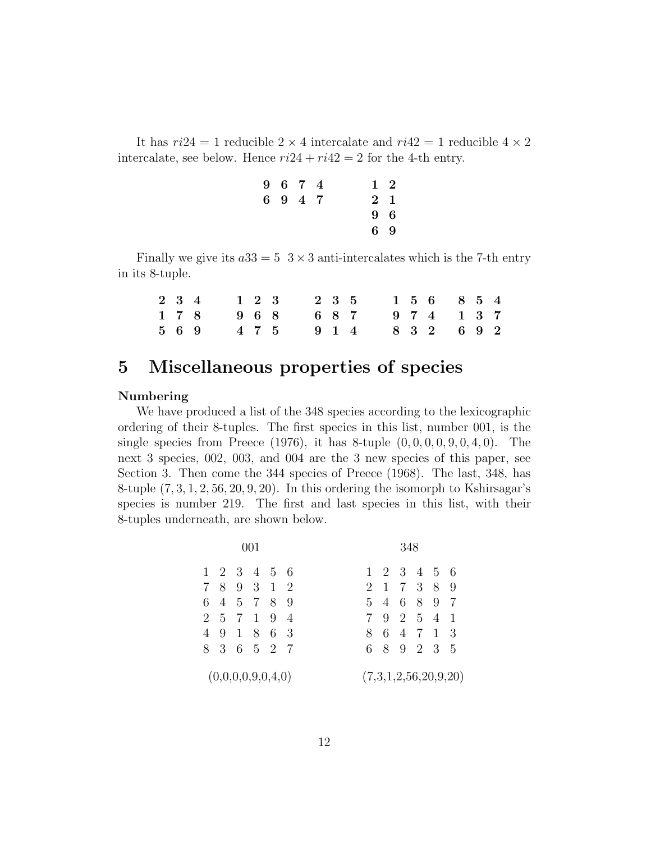It has  $ri24 = 1$  reducible  $2 \times 4$  intercalate and  $ri42 = 1$  reducible  $4 \times 2$ intercalate, see below. Hence  $ri24 + ri42 = 2$  for the 4-th entry.

|  | 9674    |  |           | $1\quad 2$ |
|--|---------|--|-----------|------------|
|  | 6 9 4 7 |  | $2\quad1$ |            |
|  |         |  |           | 9 6        |
|  |         |  | 69        |            |

Finally we give its  $a33 = 5$  3  $\times$  3 anti-intercalates which is the 7-th entry in its 8-tuple.

|  |  |  |  | 2 3 4 1 2 3 2 3 5 1 5 6 8 5 4 |  |  |  |
|--|--|--|--|-------------------------------|--|--|--|
|  |  |  |  | 1 7 8 9 6 8 6 8 7 9 7 4 1 3 7 |  |  |  |
|  |  |  |  | 5 6 9 4 7 5 9 1 4 8 3 2 6 9 2 |  |  |  |

# **5 Miscellaneous properties of species**

### **Numbering**

We have produced a list of the 348 species according to the lexicographic ordering of their 8-tuples. The first species in this list, number 001, is the single species from Preece (1976), it has 8-tuple (0*,* 0*,* 0*,* 0*,* 9*,* 0*,* 4*,* 0). The next 3 species, 002, 003, and 004 are the 3 new species of this paper, see Section 3. Then come the 344 species of Preece (1968). The last, 348, has 8-tuple (7*,* 3*,* 1*,* 2*,* 56*,* 20*,* 9*,* 20). In this ordering the isomorph to Kshirsagar's species is number 219. The first and last species in this list, with their 8-tuples underneath, are shown below.

|    |  |                                   |  |  |                |  | 348 |                                        |                      |  |
|----|--|-----------------------------------|--|--|----------------|--|-----|----------------------------------------|----------------------|--|
|    |  | $1\;\; 2\;\; 3\;\; 4\;\; 5\;\; 6$ |  |  |                |  |     | $1\quad 2\quad 3\quad 4\quad 5\quad 6$ |                      |  |
|    |  | 7 8 9 3 1 2                       |  |  | $\overline{2}$ |  |     | 1 7 3 8 9                              |                      |  |
|    |  | 6 4 5 7 8 9                       |  |  |                |  |     | 5 4 6 8 9                              | - 7                  |  |
|    |  | 2 5 7 1 9 4                       |  |  |                |  |     | 7 9 2 5 4 1                            |                      |  |
| 4  |  | 9 1 8 6 3                         |  |  |                |  |     | 8 6 4 7 1 3                            |                      |  |
| 8. |  | 3 6 5 2 7                         |  |  | 6.             |  |     | 8 9 2 3 5                              |                      |  |
|    |  | (0,0,0,0,9,0,4,0)                 |  |  |                |  |     |                                        | (7,3,1,2,56,20,9,20) |  |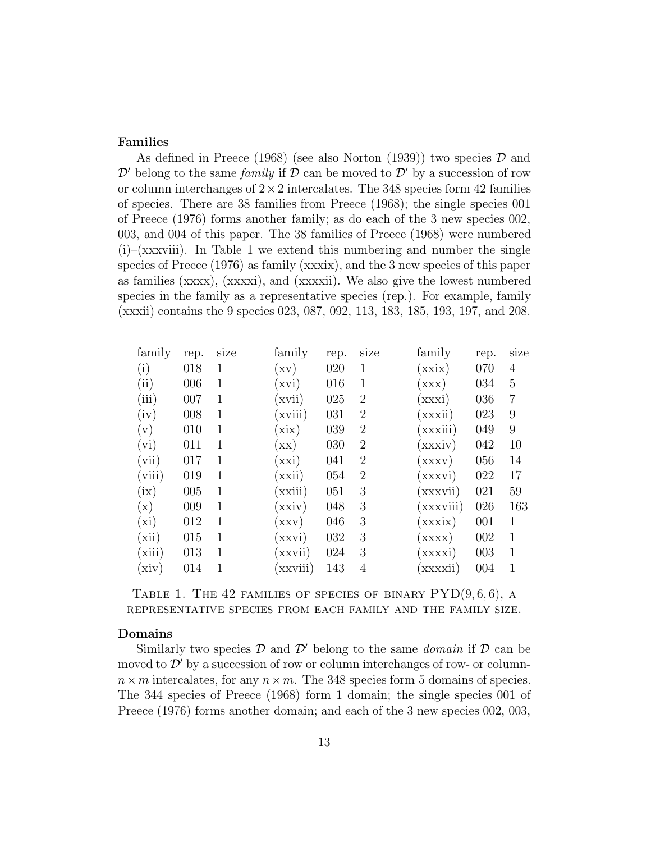### **Families**

As defined in Preece (1968) (see also Norton (1939)) two species *D* and  $\mathcal{D}'$  belong to the same *family* if  $\mathcal{D}$  can be moved to  $\mathcal{D}'$  by a succession of row or column interchanges of  $2 \times 2$  intercalates. The 348 species form 42 families of species. There are 38 families from Preece (1968); the single species 001 of Preece (1976) forms another family; as do each of the 3 new species 002, 003, and 004 of this paper. The 38 families of Preece (1968) were numbered  $(i)$ –(xxxviii). In Table 1 we extend this numbering and number the single species of Preece (1976) as family (xxxix), and the 3 new species of this paper as families (xxxx), (xxxxi), and (xxxxii). We also give the lowest numbered species in the family as a representative species (rep.). For example, family (xxxii) contains the 9 species 023, 087, 092, 113, 183, 185, 193, 197, and 208.

| family         | rep. | $_{\rm S1ZC}$ | family          | rep. | size           | family                     | rep. | size           |
|----------------|------|---------------|-----------------|------|----------------|----------------------------|------|----------------|
| (i)            | 018  | 1             | (xv)            | 020  | 1              | (xxix)                     | 070  | 4              |
| (ii)           | 006  | 1             | (xvi)           | 016  | 1              | (xxx)                      | 034  | 5              |
| (iii)          | 007  | $\mathbf 1$   | (xvii)          | 025  | 2              | (xxxi)                     | 036  | $\overline{7}$ |
| (iv)           | 008  | 1             | (xviii)         | 031  | 2              | (xxxii)                    | 023  | 9              |
| (v)            | 010  | $\mathbf 1$   | (xix)           | 039  | $\overline{2}$ | (xxxiii)                   | 049  | 9              |
| (vi)           | 011  | 1             | $(\mathbf{xx})$ | 030  | $\overline{2}$ | (xxxiv)                    | 042  | 10             |
| (vii)          | 017  | 1             | (xxi)           | 041  | $\overline{2}$ | (xxxv)                     | 056  | 14             |
| (viii)         | 019  | 1             | (xxi)           | 054  | 2              | (xxxvi)                    | 022  | 17             |
| (ix)           | 005  | 1             | (xxiii)         | 051  | 3              | (xxxvii)                   | 021  | 59             |
| $(\mathrm{x})$ | 009  | 1             | (xxiv)          | 048  | 3              | (xxxviii)                  | 026  | 163            |
| (xi)           | 012  | 1             | (xxy)           | 046  | 3              | (xxxix)                    | 001  | 1              |
| (xii)          | 015  | 1             | (xxvi)          | 032  | 3              | $\left( \text{XXX}\right)$ | 002  | 1              |
| (xiii)         | 013  | 1             | (xxvii          | 024  | 3              | xxxxi)                     | 003  | 1              |
| (xiv)          | 014  | 1             | (xxviii)        | 143  | 4              | xxxxii)                    | 004  |                |

Table 1. The 42 families of species of binary PYD(9*,* 6*,* 6), a representative species from each family and the family size.

#### **Domains**

Similarly two species  $D$  and  $D'$  belong to the same *domain* if  $D$  can be moved to  $\mathcal{D}'$  by a succession of row or column-interchanges of row- or column $n \times m$  intercalates, for any  $n \times m$ . The 348 species form 5 domains of species. The 344 species of Preece (1968) form 1 domain; the single species 001 of Preece (1976) forms another domain; and each of the 3 new species 002, 003,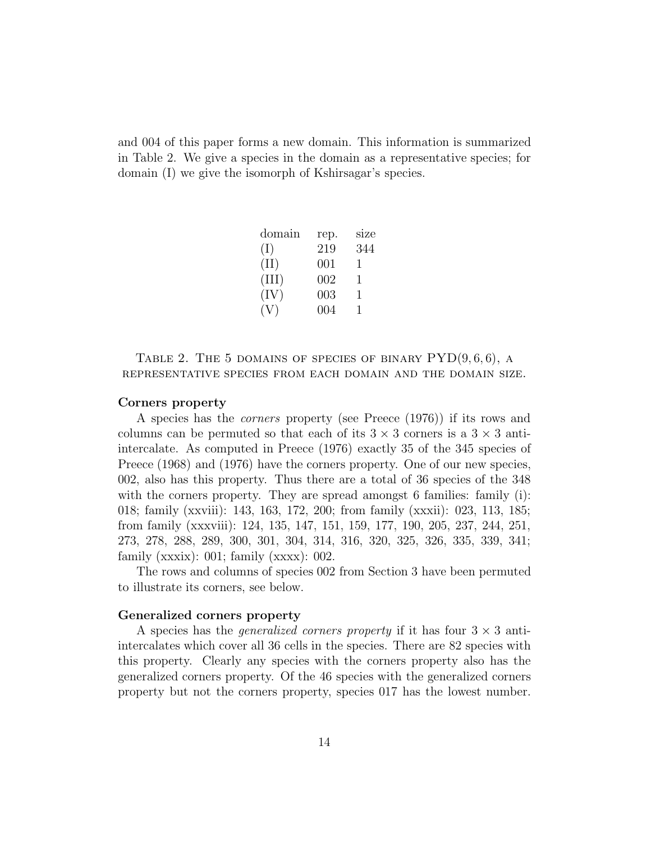and 004 of this paper forms a new domain. This information is summarized in Table 2. We give a species in the domain as a representative species; for domain (I) we give the isomorph of Kshirsagar's species.

| rep. | size |
|------|------|
| 219  | 344  |
| 001  | T    |
| 002  | T    |
| 003  | 1    |
| 004  | Т.   |
|      |      |

Table 2. The 5 domains of species of binary PYD(9*,* 6*,* 6), a representative species from each domain and the domain size.

#### **Corners property**

A species has the *corners* property (see Preece (1976)) if its rows and columns can be permuted so that each of its  $3 \times 3$  corners is a  $3 \times 3$  antiintercalate. As computed in Preece (1976) exactly 35 of the 345 species of Preece (1968) and (1976) have the corners property. One of our new species, 002, also has this property. Thus there are a total of 36 species of the 348 with the corners property. They are spread amongst 6 families: family (i): 018; family (xxviii): 143, 163, 172, 200; from family (xxxii): 023, 113, 185; from family (xxxviii): 124, 135, 147, 151, 159, 177, 190, 205, 237, 244, 251, 273, 278, 288, 289, 300, 301, 304, 314, 316, 320, 325, 326, 335, 339, 341; family ( $xxxix$ ): 001; family ( $xxxx$ ): 002.

The rows and columns of species 002 from Section 3 have been permuted to illustrate its corners, see below.

#### **Generalized corners property**

A species has the *generalized corners property* if it has four 3 *×* 3 antiintercalates which cover all 36 cells in the species. There are 82 species with this property. Clearly any species with the corners property also has the generalized corners property. Of the 46 species with the generalized corners property but not the corners property, species 017 has the lowest number.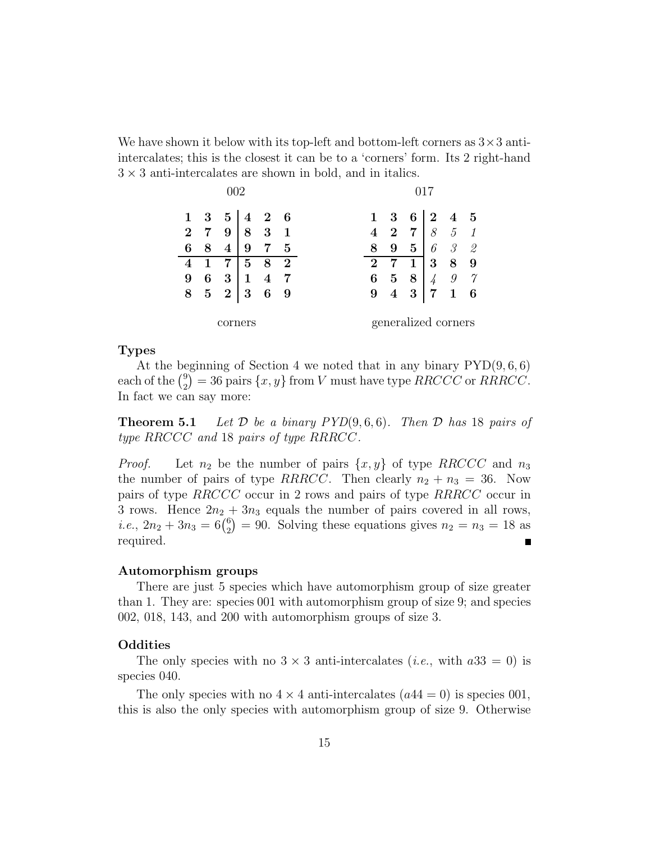We have shown it below with its top-left and bottom-left corners as 3*×*3 antiintercalates; this is the closest it can be to a 'corners' form. Its 2 right-hand 3 *×* 3 anti-intercalates are shown in bold, and in italics.

|         |   |           |                   | $1 \t3 \t5 \t4 \t2 \t6$ |                          |  |                | $1 \quad 3$    |                     | $6 \mid 2 \mid 4 \mid 5$ |                                     |          |
|---------|---|-----------|-------------------|-------------------------|--------------------------|--|----------------|----------------|---------------------|--------------------------|-------------------------------------|----------|
| $2 \t7$ |   |           | $9 \mid 8 \mid 3$ |                         | $\overline{\phantom{0}}$ |  | $\overline{4}$ | $\overline{2}$ | 7 <sup>1</sup>      |                          | 8 5 1                               |          |
| 6       | 8 | 4         | 9                 |                         | $\overline{5}$           |  | 8              | 9              | $5^{\circ}$         | 6                        | $\mathcal{S}$                       | 2        |
| 4       |   |           | 5                 | 8                       | $\boldsymbol{2}$         |  | $\bf{2}$       |                | $\mathbf 1$         | 3                        | 8                                   | -9       |
| 9       | 6 |           | $3 \mid 1 \mid 4$ |                         |                          |  | 6              | $\bf{5}$       | 8 <sup>1</sup>      |                          | $\begin{array}{cc} \end{array}$ 4 9 | $\gamma$ |
| 8       |   | $5\quad2$ | -3                | 6                       | - 9                      |  | 9              | $\overline{4}$ | 3 <sup>°</sup>      | 7                        | $\mathbf{1}$                        |          |
|         |   | corners   |                   |                         |                          |  |                |                | generalized corners |                          |                                     |          |

### **Types**

At the beginning of Section 4 we noted that in any binary PYD(9*,* 6*,* 6) each of the  $\binom{9}{2}$  $\sum_{n=1}^{\infty}$  = 36 pairs  $\{x, y\}$  from *V* must have type *RRCCC* or *RRRCC*. In fact we can say more:

**Theorem 5.1** *Let*  $D$  *be a binary PYD* $(9, 6, 6)$ *. Then*  $D$  *has* 18 *pairs of type RRCCC and* 18 *pairs of type RRRCC.*

*Proof.* Let  $n_2$  be the number of pairs  $\{x, y\}$  of type *RRCCC* and  $n_3$ the number of pairs of type *RRRCC*. Then clearly  $n_2 + n_3 = 36$ . Now pairs of type *RRCCC* occur in 2 rows and pairs of type *RRRCC* occur in 3 rows. Hence  $2n_2 + 3n_3$  equals the number of pairs covered in all rows, *i.e.*,  $2n_2 + 3n_3 = 6\binom{6}{2}$  $= 90$ . Solving these equations gives  $n_2 = n_3 = 18$  as required.

#### **Automorphism groups**

There are just 5 species which have automorphism group of size greater than 1. They are: species 001 with automorphism group of size 9; and species 002, 018, 143, and 200 with automorphism groups of size 3.

#### **Oddities**

The only species with no  $3 \times 3$  anti-intercalates (*i.e.*, with  $a33 = 0$ ) is species 040.

The only species with no  $4 \times 4$  anti-intercalates  $(a44 = 0)$  is species 001, this is also the only species with automorphism group of size 9. Otherwise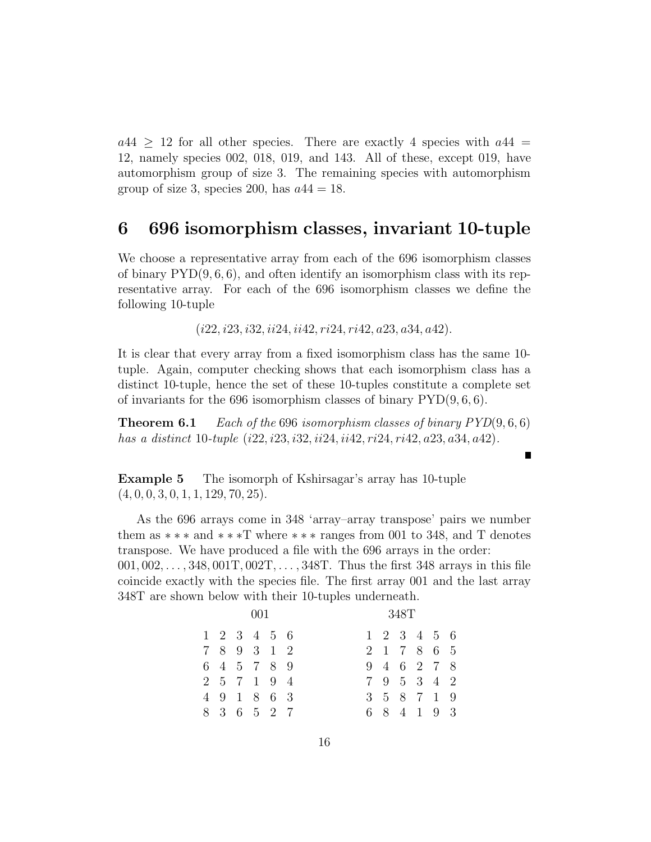$a44 > 12$  for all other species. There are exactly 4 species with  $a44 =$ 12, namely species 002, 018, 019, and 143. All of these, except 019, have automorphism group of size 3. The remaining species with automorphism group of size 3, species 200, has  $a44 = 18$ .

### **6 696 isomorphism classes, invariant 10-tuple**

We choose a representative array from each of the 696 isomorphism classes of binary PYD(9*,* 6*,* 6), and often identify an isomorphism class with its representative array. For each of the 696 isomorphism classes we define the following 10-tuple

(*i*22*, i*23*, i*32*, ii*24*, ii*42*, ri*24*, ri*42*, a*23*, a*34*, a*42)*.*

It is clear that every array from a fixed isomorphism class has the same 10 tuple. Again, computer checking shows that each isomorphism class has a distinct 10-tuple, hence the set of these 10-tuples constitute a complete set of invariants for the 696 isomorphism classes of binary PYD(9*,* 6*,* 6).

**Theorem 6.1** *Each of the* 696 *isomorphism classes of binary PYD*(9*,* 6*,* 6) *has a distinct* 10*-tuple* (*i*22*, i*23*, i*32*, ii*24*, ii*42*, ri*24*, ri*42*, a*23*, a*34*, a*42)*.*

**Example 5** The isomorph of Kshirsagar's array has 10-tuple (4*,* 0*,* 0*,* 3*,* 0*,* 1*,* 1*,* 129*,* 70*,* 25).

As the 696 arrays come in 348 'array–array transpose' pairs we number them as *∗∗∗* and *∗∗∗*T where *∗∗∗* ranges from 001 to 348, and T denotes transpose. We have produced a file with the 696 arrays in the order: 001*,* 002*,...,* 348*,* 001T*,* 002T*,...,* 348T. Thus the first 348 arrays in this file coincide exactly with the species file. The first array 001 and the last array 348T are shown below with their 10-tuples underneath.

| -001 |  |  |                                        |  |  | 348T |  |  |  |             |  |  |  |
|------|--|--|----------------------------------------|--|--|------|--|--|--|-------------|--|--|--|
|      |  |  | $1\quad 2\quad 3\quad 4\quad 5\quad 6$ |  |  |      |  |  |  | 1 2 3 4 5 6 |  |  |  |
|      |  |  | 7 8 9 3 1 2                            |  |  |      |  |  |  | 2 1 7 8 6 5 |  |  |  |
|      |  |  | 6 4 5 7 8 9                            |  |  |      |  |  |  | 9 4 6 2 7 8 |  |  |  |
|      |  |  | 2 5 7 1 9 4                            |  |  |      |  |  |  | 7 9 5 3 4 2 |  |  |  |
|      |  |  | 4 9 1 8 6 3                            |  |  |      |  |  |  | 3 5 8 7 1 9 |  |  |  |
|      |  |  | 8 3 6 5 2 7                            |  |  |      |  |  |  | 6 8 4 1 9 3 |  |  |  |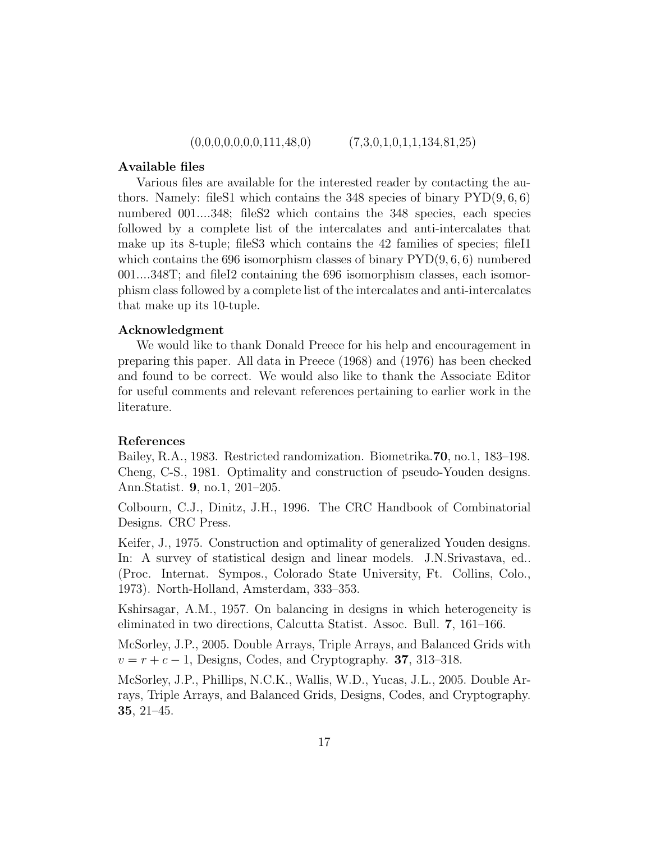$(0,0,0,0,0,0,0,111,48,0)$   $(7,3,0,1,0,1,1,134,81,25)$ 

#### **Available files**

Various files are available for the interested reader by contacting the authors. Namely: fileS1 which contains the 348 species of binary PYD(9*,* 6*,* 6) numbered 001....348; fileS2 which contains the 348 species, each species followed by a complete list of the intercalates and anti-intercalates that make up its 8-tuple; fileS3 which contains the 42 families of species; fileI1 which contains the 696 isomorphism classes of binary PYD(9*,* 6*,* 6) numbered 001....348T; and fileI2 containing the 696 isomorphism classes, each isomorphism class followed by a complete list of the intercalates and anti-intercalates that make up its 10-tuple.

### **Acknowledgment**

We would like to thank Donald Preece for his help and encouragement in preparing this paper. All data in Preece (1968) and (1976) has been checked and found to be correct. We would also like to thank the Associate Editor for useful comments and relevant references pertaining to earlier work in the literature.

#### **References**

Bailey, R.A., 1983. Restricted randomization. Biometrika.**70**, no.1, 183–198. Cheng, C-S., 1981. Optimality and construction of pseudo-Youden designs. Ann.Statist. **9**, no.1, 201–205.

Colbourn, C.J., Dinitz, J.H., 1996. The CRC Handbook of Combinatorial Designs. CRC Press.

Keifer, J., 1975. Construction and optimality of generalized Youden designs. In: A survey of statistical design and linear models. J.N.Srivastava, ed.. (Proc. Internat. Sympos., Colorado State University, Ft. Collins, Colo., 1973). North-Holland, Amsterdam, 333–353.

Kshirsagar, A.M., 1957. On balancing in designs in which heterogeneity is eliminated in two directions, Calcutta Statist. Assoc. Bull. **7**, 161–166.

McSorley, J.P., 2005. Double Arrays, Triple Arrays, and Balanced Grids with *v* = *r* + *c −* 1, Designs, Codes, and Cryptography. **37**, 313–318.

McSorley, J.P., Phillips, N.C.K., Wallis, W.D., Yucas, J.L., 2005. Double Arrays, Triple Arrays, and Balanced Grids, Designs, Codes, and Cryptography. **35**, 21–45.